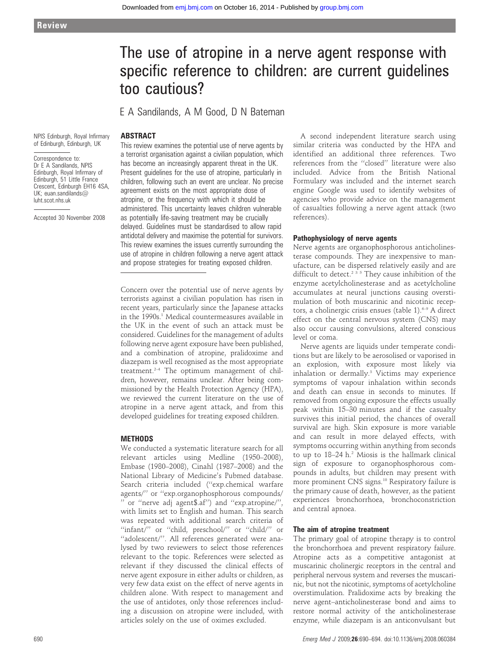# The use of atropine in a nerve agent response with specific reference to children: are current guidelines too cautious?

E A Sandilands, A M Good, D N Bateman

# ABSTRACT

NPIS Edinburgh, Royal Infirmary of Edinburgh, Edinburgh, UK

Correspondence to: Dr E A Sandilands, NPIS Edinburgh, Royal Infirmary of Edinburgh, 51 Little France Crescent, Edinburgh EH16 4SA, UK; euan.sandilands $@$ luht.scot.nhs.uk

Accepted 30 November 2008

This review examines the potential use of nerve agents by a terrorist organisation against a civilian population, which has become an increasingly apparent threat in the UK. Present guidelines for the use of atropine, particularly in children, following such an event are unclear. No precise agreement exists on the most appropriate dose of atropine, or the frequency with which it should be administered. This uncertainty leaves children vulnerable as potentially life-saving treatment may be crucially delayed. Guidelines must be standardised to allow rapid antidotal delivery and maximise the potential for survivors. This review examines the issues currently surrounding the use of atropine in children following a nerve agent attack and propose strategies for treating exposed children.

Concern over the potential use of nerve agents by terrorists against a civilian population has risen in recent years, particularly since the Japanese attacks in the 1990s.<sup>1</sup> Medical countermeasures available in the UK in the event of such an attack must be considered. Guidelines for the management of adults following nerve agent exposure have been published, and a combination of atropine, pralidoxime and diazepam is well recognised as the most appropriate treatment. $2-4$  The optimum management of children, however, remains unclear. After being commissioned by the Health Protection Agency (HPA), we reviewed the current literature on the use of atropine in a nerve agent attack, and from this developed guidelines for treating exposed children.

# **METHODS**

We conducted a systematic literature search for all relevant articles using Medline (1950–2008), Embase (1980–2008), Cinahl (1987–2008) and the National Library of Medicine's Pubmed database. Search criteria included (''exp.chemical warfare agents/'' or ''exp.organophosphorous compounds/ '' or ''nerve adj agent\$.af'') and ''exp.atropine/'', with limits set to English and human. This search was repeated with additional search criteria of "infant/" or "child, preschool/" or "child/" or "adolescent/". All references generated were analysed by two reviewers to select those references relevant to the topic. References were selected as relevant if they discussed the clinical effects of nerve agent exposure in either adults or children, as very few data exist on the effect of nerve agents in children alone. With respect to management and the use of antidotes, only those references including a discussion on atropine were included, with articles solely on the use of oximes excluded.

A second independent literature search using similar criteria was conducted by the HPA and identified an additional three references. Two references from the ''closed'' literature were also included. Advice from the British National Formulary was included and the internet search engine Google was used to identify websites of agencies who provide advice on the management of casualties following a nerve agent attack (two references).

# Pathophysiology of nerve agents

Nerve agents are organophosphorous anticholinesterase compounds. They are inexpensive to manufacture, can be dispersed relatively easily and are difficult to detect.<sup>235</sup> They cause inhibition of the enzyme acetylcholinesterase and as acetylcholine accumulates at neural junctions causing overstimulation of both muscarinic and nicotinic receptors, a cholinergic crisis ensues (table 1).<sup>6-9</sup> A direct effect on the central nervous system (CNS) may also occur causing convulsions, altered conscious level or coma.

Nerve agents are liquids under temperate conditions but are likely to be aerosolised or vaporised in an explosion, with exposure most likely via inhalation or dermally.<sup>3</sup> Victims may experience symptoms of vapour inhalation within seconds and death can ensue in seconds to minutes. If removed from ongoing exposure the effects usually peak within 15–30 minutes and if the casualty survives this initial period, the chances of overall survival are high. Skin exposure is more variable and can result in more delayed effects, with symptoms occurring within anything from seconds to up to  $18-24$  h.<sup>2</sup> Miosis is the hallmark clinical sign of exposure to organophosphorous compounds in adults, but children may present with more prominent CNS signs.10 Respiratory failure is the primary cause of death, however, as the patient experiences bronchorrhoea, bronchoconstriction and central apnoea.

#### The aim of atropine treatment

The primary goal of atropine therapy is to control the bronchorrhoea and prevent respiratory failure. Atropine acts as a competitive antagonist at muscarinic cholinergic receptors in the central and peripheral nervous system and reverses the muscarinic, but not the nicotinic, symptoms of acetylcholine overstimulation. Pralidoxime acts by breaking the nerve agent–anticholinesterase bond and aims to restore normal activity of the anticholinesterase enzyme, while diazepam is an anticonvulsant but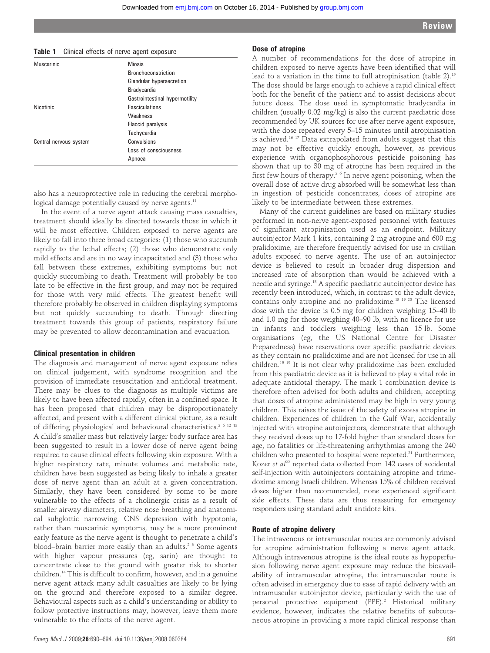| <b>Muscarinic</b>      | <b>Miosis</b>                  |
|------------------------|--------------------------------|
|                        | Bronchoconstriction            |
|                        | Glandular hypersecretion       |
|                        | Bradycardia                    |
|                        | Gastrointestinal hypermotility |
| <b>Nicotinic</b>       | <b>Fasciculations</b>          |
|                        | Weakness                       |
|                        | Flaccid paralysis              |
|                        | Tachycardia                    |
| Central nervous system | Convulsions                    |
|                        | Loss of consciousness          |
|                        | Apnoea                         |

#### Table 1 Clinical effects of nerve agent exposure

also has a neuroprotective role in reducing the cerebral morphological damage potentially caused by nerve agents.<sup>11</sup>

In the event of a nerve agent attack causing mass casualties, treatment should ideally be directed towards those in which it will be most effective. Children exposed to nerve agents are likely to fall into three broad categories: (1) those who succumb rapidly to the lethal effects; (2) those who demonstrate only mild effects and are in no way incapacitated and (3) those who fall between these extremes, exhibiting symptoms but not quickly succumbing to death. Treatment will probably be too late to be effective in the first group, and may not be required for those with very mild effects. The greatest benefit will therefore probably be observed in children displaying symptoms but not quickly succumbing to death. Through directing treatment towards this group of patients, respiratory failure may be prevented to allow decontamination and evacuation.

#### Clinical presentation in children

The diagnosis and management of nerve agent exposure relies on clinical judgement, with syndrome recognition and the provision of immediate resuscitation and antidotal treatment. There may be clues to the diagnosis as multiple victims are likely to have been affected rapidly, often in a confined space. It has been proposed that children may be disproportionately affected, and present with a different clinical picture, as a result of differing physiological and behavioural characteristics.<sup>2 6 12 13</sup> A child's smaller mass but relatively larger body surface area has been suggested to result in a lower dose of nerve agent being required to cause clinical effects following skin exposure. With a higher respiratory rate, minute volumes and metabolic rate, children have been suggested as being likely to inhale a greater dose of nerve agent than an adult at a given concentration. Similarly, they have been considered by some to be more vulnerable to the effects of a cholinergic crisis as a result of smaller airway diameters, relative nose breathing and anatomical subglottic narrowing. CNS depression with hypotonia, rather than muscarinic symptoms, may be a more prominent early feature as the nerve agent is thought to penetrate a child's blood–brain barrier more easily than an adults.<sup>26</sup> Some agents with higher vapour pressures (eg, sarin) are thought to concentrate close to the ground with greater risk to shorter children.14 This is difficult to confirm, however, and in a genuine nerve agent attack many adult casualties are likely to be lying on the ground and therefore exposed to a similar degree. Behavioural aspects such as a child's understanding or ability to follow protective instructions may, however, leave them more vulnerable to the effects of the nerve agent.

#### Dose of atropine

A number of recommendations for the dose of atropine in children exposed to nerve agents have been identified that will lead to a variation in the time to full atropinisation (table 2).<sup>15</sup> The dose should be large enough to achieve a rapid clinical effect both for the benefit of the patient and to assist decisions about future doses. The dose used in symptomatic bradycardia in children (usually 0.02 mg/kg) is also the current paediatric dose recommended by UK sources for use after nerve agent exposure, with the dose repeated every 5–15 minutes until atropinisation is achieved.<sup>16 17</sup> Data extrapolated from adults suggest that this may not be effective quickly enough, however, as previous experience with organophosphorous pesticide poisoning has shown that up to 30 mg of atropine has been required in the first few hours of therapy.2 6 In nerve agent poisoning, when the overall dose of active drug absorbed will be somewhat less than in ingestion of pesticide concentrates, doses of atropine are likely to be intermediate between these extremes.

Many of the current guidelines are based on military studies performed in non-nerve agent-exposed personnel with features of significant atropinisation used as an endpoint. Military autoinjector Mark 1 kits, containing 2 mg atropine and 600 mg pralidoxime, are therefore frequently advised for use in civilian adults exposed to nerve agents. The use of an autoinjector device is believed to result in broader drug dispersion and increased rate of absorption than would be achieved with a needle and syringe.18 A specific paediatric autoinjector device has recently been introduced, which, in contrast to the adult device, contains only atropine and no pralidoxime.15 19 20 The licensed dose with the device is 0.5 mg for children weighing 15–40 lb and 1.0 mg for those weighing 40–90 lb, with no licence for use in infants and toddlers weighing less than 15 lb. Some organisations (eg, the US National Centre for Disaster Preparedness) have reservations over specific paediatric devices as they contain no pralidoxime and are not licensed for use in all children.15 19 It is not clear why pralidoxime has been excluded from this paediatric device as it is believed to play a vital role in adequate antidotal therapy. The mark 1 combination device is therefore often advised for both adults and children, accepting that doses of atropine administered may be high in very young children. This raises the issue of the safety of excess atropine in children. Experiences of children in the Gulf War, accidentally injected with atropine autoinjectors, demonstrate that although they received doses up to 17-fold higher than standard doses for age, no fatalities or life-threatening arrhythmias among the 240 children who presented to hospital were reported.<sup>21</sup> Furthermore, Kozer et  $a^{22}$  reported data collected from 142 cases of accidental self-injection with autoinjectors containing atropine and trimedoxime among Israeli children. Whereas 15% of children received doses higher than recommended, none experienced significant side effects. These data are thus reassuring for emergency responders using standard adult antidote kits.

#### Route of atropine delivery

The intravenous or intramuscular routes are commonly advised for atropine administration following a nerve agent attack. Although intravenous atropine is the ideal route as hypoperfusion following nerve agent exposure may reduce the bioavailability of intramuscular atropine, the intramuscular route is often advised in emergency due to ease of rapid delivery with an intramuscular autoinjector device, particularly with the use of personal protective equipment (PPE).<sup>2</sup> Historical military evidence, however, indicates the relative benefits of subcutaneous atropine in providing a more rapid clinical response than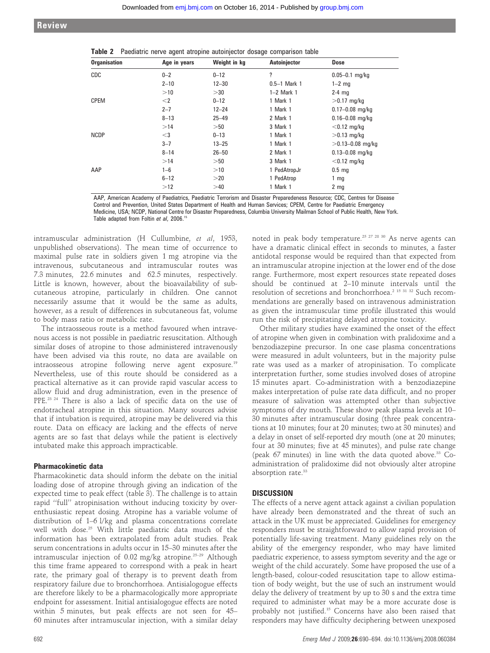|  |  |  |  |  |  | Table 2 Paediatric nerve agent atropine autoinjector dosage comparison table |  |
|--|--|--|--|--|--|------------------------------------------------------------------------------|--|
|--|--|--|--|--|--|------------------------------------------------------------------------------|--|

| <b>Organisation</b> | Age in years | Weight in kg | Autoinjector     | <b>Dose</b>          |
|---------------------|--------------|--------------|------------------|----------------------|
| <b>CDC</b>          | $0 - 2$      | $0 - 12$     | ?                | $0.05 - 0.1$ mg/kg   |
|                     | $2 - 10$     | $12 - 30$    | $0.5 - 1$ Mark 1 | $1-2$ mg             |
|                     | >10          | >30          | $1-2$ Mark 1     | $2-4$ mg             |
| <b>CPEM</b>         | $<$ 2        | $0 - 12$     | 1 Mark 1         | $>0.17$ mg/kg        |
|                     | $2 - 7$      | $12 - 24$    | 1 Mark 1         | $0.17 - 0.08$ mg/kg  |
|                     | $8 - 13$     | $25 - 49$    | 2 Mark 1         | $0.16 - 0.08$ mg/kg  |
|                     | >14          | >50          | 3 Mark 1         | $<$ 0.12 mg/kg       |
| <b>NCDP</b>         | $<$ 3        | $0 - 13$     | 1 Mark 1         | $>0.13$ mg/kg        |
|                     | $3 - 7$      | $13 - 25$    | 1 Mark 1         | $>0.13 - 0.08$ mg/kg |
|                     | $8 - 14$     | $26 - 50$    | 2 Mark 1         | $0.13 - 0.08$ mg/kg  |
|                     | >14          | >50          | 3 Mark 1         | $<$ 0.12 mg/kg       |
| AAP                 | $1 - 6$      | >10          | 1 PedAtropJr     | $0.5$ mg             |
|                     | $6 - 12$     | >20          | 1 PedAtrop       | 1 $mg$               |
|                     | >12          | >40          | 1 Mark 1         | $2 \, \text{mg}$     |

AAP, American Academy of Paediatrics, Paediatric Terrorism and Disaster Preparedeness Resource; CDC, Centres for Disease Control and Prevention, United States Department of Health and Human Services; CPEM, Centre for Paediatric Emergency Medicine, USA; NCDP, National Centre for Disaster Preparedness, Columbia University Mailman School of Public Health, New York. Table adapted from Foltin et al, 2006.<sup>15</sup>

intramuscular administration (H Cullumbine, et al, 1953, unpublished observations). The mean time of occurrence to maximal pulse rate in soldiers given 1 mg atropine via the intravenous, subcutaneous and intramuscular routes was 7.3 minutes, 22.6 minutes and 62.5 minutes, respectively. Little is known, however, about the bioavailability of subcutaneous atropine, particularly in children. One cannot necessarily assume that it would be the same as adults, however, as a result of differences in subcutaneous fat, volume to body mass ratio or metabolic rate.

The intraosseous route is a method favoured when intravenous access is not possible in paediatric resuscitation. Although similar doses of atropine to those administered intravenously have been advised via this route, no data are available on intraosseous atropine following nerve agent exposure.<sup>19</sup> Nevertheless, use of this route should be considered as a practical alternative as it can provide rapid vascular access to allow fluid and drug administration, even in the presence of PPE.<sup>23 24</sup> There is also a lack of specific data on the use of endotracheal atropine in this situation. Many sources advise that if intubation is required, atropine may be delivered via this route. Data on efficacy are lacking and the effects of nerve agents are so fast that delays while the patient is electively intubated make this approach impracticable.

#### Pharmacokinetic data

Pharmacokinetic data should inform the debate on the initial loading dose of atropine through giving an indication of the expected time to peak effect (table 3). The challenge is to attain rapid ''full'' atropinisation without inducing toxicity by overenthusiastic repeat dosing. Atropine has a variable volume of distribution of 1–6 l/kg and plasma concentrations correlate well with dose.25 With little paediatric data much of the information has been extrapolated from adult studies. Peak serum concentrations in adults occur in 15–30 minutes after the intramuscular injection of  $0.02$  mg/kg atropine.<sup>25-29</sup> Although this time frame appeared to correspond with a peak in heart rate, the primary goal of therapy is to prevent death from respiratory failure due to bronchorrhoea. Antisialogogue effects are therefore likely to be a pharmacologically more appropriate endpoint for assessment. Initial antisialogogue effects are noted within 5 minutes, but peak effects are not seen for 45– 60 minutes after intramuscular injection, with a similar delay

noted in peak body temperature.25 27 28 30 As nerve agents can have a dramatic clinical effect in seconds to minutes, a faster antidotal response would be required than that expected from an intramuscular atropine injection at the lower end of the dose range. Furthermore, most expert resources state repeated doses should be continued at 2–10 minute intervals until the resolution of secretions and bronchorrhoea.<sup>2 15 31 32</sup> Such recommendations are generally based on intravenous administration as given the intramuscular time profile illustrated this would run the risk of precipitating delayed atropine toxicity.

Other military studies have examined the onset of the effect of atropine when given in combination with pralidoxime and a benzodiazepine precursor. In one case plasma concentrations were measured in adult volunteers, but in the majority pulse rate was used as a marker of atropinisation. To complicate interpretation further, some studies involved doses of atropine 15 minutes apart. Co-administration with a benzodiazepine makes interpretation of pulse rate data difficult, and no proper measure of salivation was attempted other than subjective symptoms of dry mouth. These show peak plasma levels at 10– 30 minutes after intramuscular dosing (three peak concentrations at 10 minutes; four at 20 minutes; two at 30 minutes) and a delay in onset of self-reported dry mouth (one at 20 minutes; four at 30 minutes; five at 45 minutes), and pulse rate change (peak  $67$  minutes) in line with the data quoted above.<sup>33</sup> Coadministration of pralidoxime did not obviously alter atropine absorption rate.<sup>33</sup>

#### **DISCUSSION**

The effects of a nerve agent attack against a civilian population have already been demonstrated and the threat of such an attack in the UK must be appreciated. Guidelines for emergency responders must be straightforward to allow rapid provision of potentially life-saving treatment. Many guidelines rely on the ability of the emergency responder, who may have limited paediatric experience, to assess symptom severity and the age or weight of the child accurately. Some have proposed the use of a length-based, colour-coded resuscitation tape to allow estimation of body weight, but the use of such an instrument would delay the delivery of treatment by up to 30 s and the extra time required to administer what may be a more accurate dose is probably not justified.15 Concerns have also been raised that responders may have difficulty deciphering between unexposed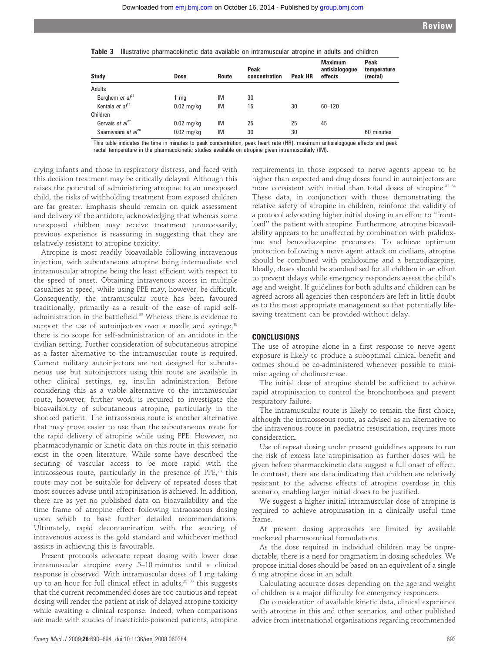| Table 3 Illustrative pharmacokinetic data available on intramuscular atropine in adults and children |  |  |  |  |  |  |  |  |  |  |  |  |
|------------------------------------------------------------------------------------------------------|--|--|--|--|--|--|--|--|--|--|--|--|
|------------------------------------------------------------------------------------------------------|--|--|--|--|--|--|--|--|--|--|--|--|

| <b>Study</b>                    | <b>Dose</b>          | <b>Route</b> | Peak<br>concentration | Peak HR | <b>Maximum</b><br>antisialogogue<br>effects | Peak<br>temperature<br>(rectal) |
|---------------------------------|----------------------|--------------|-----------------------|---------|---------------------------------------------|---------------------------------|
| Adults                          |                      |              |                       |         |                                             |                                 |
| Berghem et $al^{29}$            | $1 \,$ mg            | IM           | 30                    |         |                                             |                                 |
| Kentala et $al^{25}$            | $0.02 \text{ mg/kg}$ | IM           | 15                    | 30      | $60 - 120$                                  |                                 |
| Children                        |                      |              |                       |         |                                             |                                 |
| Gervais et $al^{27}$            | $0.02 \text{ mg/kg}$ | IM           | 25                    | 25      | 45                                          |                                 |
| Saarnivaara et al <sup>28</sup> | $0.02 \text{ mg/kg}$ | IM           | 30                    | 30      |                                             | 60 minutes                      |

This table indicates the time in minutes to peak concentration, peak heart rate (HR), maximum antisialogogue effects and peak rectal temperature in the pharmacokinetic studies available on atropine given intramuscularly (IM).

crying infants and those in respiratory distress, and faced with this decision treatment may be critically delayed. Although this raises the potential of administering atropine to an unexposed child, the risks of withholding treatment from exposed children are far greater. Emphasis should remain on quick assessment and delivery of the antidote, acknowledging that whereas some unexposed children may receive treatment unnecessarily, previous experience is reassuring in suggesting that they are relatively resistant to atropine toxicity.

Atropine is most readily bioavailable following intravenous injection, with subcutaneous atropine being intermediate and intramuscular atropine being the least efficient with respect to the speed of onset. Obtaining intravenous access in multiple casualties at speed, while using PPE may, however, be difficult. Consequently, the intramuscular route has been favoured traditionally, primarily as a result of the ease of rapid selfadministration in the battlefield.<sup>33</sup> Whereas there is evidence to support the use of autoinjectors over a needle and syringe, $18$ there is no scope for self-administration of an antidote in the civilian setting. Further consideration of subcutaneous atropine as a faster alternative to the intramuscular route is required. Current military autoinjectors are not designed for subcutaneous use but autoinjectors using this route are available in other clinical settings, eg, insulin administration. Before considering this as a viable alternative to the intramuscular route, however, further work is required to investigate the bioavailabilty of subcutaneous atropine, particularly in the shocked patient. The intraosseous route is another alternative that may prove easier to use than the subcutaneous route for the rapid delivery of atropine while using PPE. However, no pharmacodynamic or kinetic data on this route in this scenario exist in the open literature. While some have described the securing of vascular access to be more rapid with the intraosseous route, particularly in the presence of PPE,<sup>23</sup> this route may not be suitable for delivery of repeated doses that most sources advise until atropinisation is achieved. In addition, there are as yet no published data on bioavailability and the time frame of atropine effect following intraosseous dosing upon which to base further detailed recommendations. Ultimately, rapid decontamination with the securing of intravenous access is the gold standard and whichever method assists in achieving this is favourable.

Present protocols advocate repeat dosing with lower dose intramuscular atropine every 5–10 minutes until a clinical response is observed. With intramuscular doses of 1 mg taking up to an hour for full clinical effect in adults,<sup>25 33</sup> this suggests that the current recommended doses are too cautious and repeat dosing will render the patient at risk of delayed atropine toxicity while awaiting a clinical response. Indeed, when comparisons are made with studies of insecticide-poisoned patients, atropine

requirements in those exposed to nerve agents appear to be higher than expected and drug doses found in autoinjectors are more consistent with initial than total doses of atropine.<sup>32 34</sup> These data, in conjunction with those demonstrating the relative safety of atropine in children, reinforce the validity of a protocol advocating higher initial dosing in an effort to ''frontload'' the patient with atropine. Furthermore, atropine bioavailability appears to be unaffected by combination with pralidoxime and benzodiazepine precursors. To achieve optimum protection following a nerve agent attack on civilians, atropine should be combined with pralidoxime and a benzodiazepine. Ideally, doses should be standardised for all children in an effort to prevent delays while emergency responders assess the child's age and weight. If guidelines for both adults and children can be agreed across all agencies then responders are left in little doubt as to the most appropriate management so that potentially lifesaving treatment can be provided without delay.

# **CONCLUSIONS**

The use of atropine alone in a first response to nerve agent exposure is likely to produce a suboptimal clinical benefit and oximes should be co-administered whenever possible to minimise ageing of cholinesterase.

The initial dose of atropine should be sufficient to achieve rapid atropinisation to control the bronchorrhoea and prevent respiratory failure.

The intramuscular route is likely to remain the first choice, although the intraosseous route, as advised as an alternative to the intravenous route in paediatric resuscitation, requires more consideration.

Use of repeat dosing under present guidelines appears to run the risk of excess late atropinisation as further doses will be given before pharmacokinetic data suggest a full onset of effect. In contrast, there are data indicating that children are relatively resistant to the adverse effects of atropine overdose in this scenario, enabling larger initial doses to be justified.

We suggest a higher initial intramuscular dose of atropine is required to achieve atropinisation in a clinically useful time frame.

At present dosing approaches are limited by available marketed pharmaceutical formulations.

As the dose required in individual children may be unpredictable, there is a need for pragmatism in dosing schedules. We propose initial doses should be based on an equivalent of a single 6 mg atropine dose in an adult.

Calculating accurate doses depending on the age and weight of children is a major difficulty for emergency responders.

On consideration of available kinetic data, clinical experience with atropine in this and other scenarios, and other published advice from international organisations regarding recommended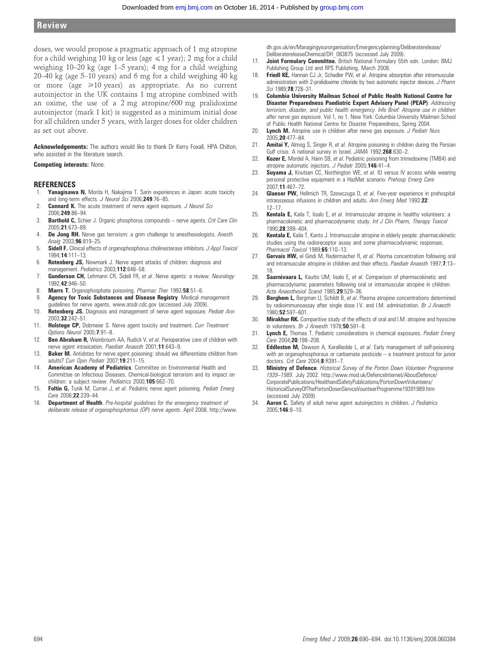# **Review**

doses, we would propose a pragmatic approach of 1 mg atropine for a child weighing 10 kg or less (age  $\leq 1$  year); 2 mg for a child weighing 10–20 kg (age 1–5 years); 4 mg for a child weighing 20–40 kg (age 5–10 years) and 6 mg for a child weighing 40 kg or more (age  $\geq 10$  years) as appropriate. As no current autoinjector in the UK contains 1 mg atropine combined with an oxime, the use of a 2 mg atropine/600 mg pralidoxime autoinjector (mark 1 kit) is suggested as a minimum initial dose for all children under 5 years, with larger doses for older children as set out above.

Acknowledgements: The authors would like to thank Dr Kerry Foxall, HPA Chilton, who assisted in the literature search.

Competing interests: None.

### **REFERENCES**

- 1. **Yanagisawa N,** Morita H, Nakajima T. Sarin experiences in Japan: acute toxicity and long-term effects. J Neurol Sci 2006;249:76-85.
- 2. **Cannard K.** The acute treatment of nerve agent exposure. J Neurol Sci 2006;249:86–94.
- 3. **Barthold C,** Schier J. Organic phosphorus compounds nerve agents. Crit Care Clin 2005;21:673–89.
- 4. De Jong RH. Nerve gas terrorism: a grim challenge to anesthesiologists. Anesth Anala 2003:96:819-25.
- 5. **Sidell F.** Clinical effects of organophosphorus cholinesterase inhibitors. *J Appl Toxicol* 1994;14:111–13.
- 6. Rotenberg JS, Newmark J. Nerve agent attacks of children: diagnosis and management. Pediatrics 2003;112:648-58.
- 7. Gunderson CH, Lehmann CR, Sidell FR, et al. Nerve agents: a review. Neurology 1992;42:946–50.
- 8. Marrs T. Organophosphate poisoning. Pharmac Ther 1993;58:51-6.
- 9. **Agency for Toxic Substances and Disease Registry**. Medical management guidelines for nerve agents. www.atsdr.cdc.gov (accessed July 2009).
- 10. Rotenberg JS. Diagnosis and management of nerve agent exposure. Pediatr Ann 2003;32:242–51.
- 11. Holstege CP, Dobmeier S. Nerve agent toxicity and treatment. Curr Treatment Options Neurol 2005;7:91–8.
- 12. **Ben Abraham R,** Weinbroum AA, Rudick V, et al. Perioperative care of children with nerve agent intoxication. Paediatr Anaesth 2001;11:643–9.
- 13. **Baker M.** Antidotes for nerve agent poisoning: should we differentiate children from adults? Curr Opin Pediatr 2007;19:211-15.
- 14. **American Academy of Pediatrics**. Committee on Environmental Health and Committee on Infectious Diseases. Chemical-biological terrorism and its impact on children: a subject review. Pediatrics 2000;105:662-70.
- 15. Foltin G, Tunik M, Curran J, et al. Pediatric nerve agent poisoning. Pediatr Emerg Care 2006;22:239–44.
- 16. Department of Health. Pre-hospital guidelines for the emergency treatment of deliberate release of organophosphorous (OP) nerve agents. April 2008. http://www.

dh.gov.uk/en/Managingyourorganisation/Emergencyplanning/Deliberaterelease/ DeliberatereleaseChemical/DH\_083875 (accessed July 2009).

- 17. Joint Formulary Committee. British National Formulary 55th edn. London: BMJ Publishing Group Ltd and RPS Publishing, March 2008.
- 18. Friedl KE, Hannan CJ Jr, Schadler PW, et al. Atropine absorption after intramuscular administration with 2-pralidoxime chloride by two automatic injector devices. J Pharm Sci 1989;78:728–31.
- 19. Columbia University Mailman School of Public Health National Centre for Disaster Preparedness Paediatric Expert Advisory Panel (PEAP). Addressing terrorism, disaster, and public health emergency. Info Brief: Atropine use in children after nerve gas exposure. Vol 1, no 1. New York: Columbia University Mailman School of Public Health National Centre for Disaster Preparedness, Spring 2004.
- 20. Lynch M. Atropine use in children after nerve gas exposure. J Pediatr Nurs 2005;20:477–84.
- 21. **Amitai Y,** Almog S, Singer R, et al. Atropine poisoning in children during the Persian Gulf crisis. A national survey in Israel. JAMA 1992;268:630-2.
- 22. **Kozer E,** Mordel A, Haim SB, et al. Pediatric poisoning from trimedoxime (TMB4) and atropine automatic injectors. J Pediatr 2005;146:41–4.
- 23. Suyama J, Knutsen CC, Northington WE, et al. IO versus IV access while wearing personal protective equipment in a HazMat scenario. Prehosp Emerg Care 2007;11:467–72.
- 24. Glaeser PW, Hellmich TR, Szewczuga D, et al. Five-year experience in prehospital intraosseous infusions in children and adults. Ann Emerg Med 1993:22: 12–17.
- 25. Kentala E, Kaila T, Iisalo E, et al. Intramuscular atropine in healthy volunteers: a pharmacokinetic and pharmacodynamic study. Int J Clin Pharm, Therapy Toxicol 1990;28:399–404.
- 26. **Kentala E,** Kaila T, Kanto J, Intramuscular atropine in elderly people: pharmacokinetic studies using the radioreceptor assay and some pharmacodynamic responses. Pharmacol Toxicol 1989;65:110–13.
- 27. Gervais HW, el Gindi M, Radermacher R, et al. Plasma concentration following oral and intramuscular atropine in children and their effects. Paediatr Anaesth 1997;7:13-18.
- 28. Saarnivaara L, Kautto UM, Iisalo E, et al. Comparison of pharmacokinetic and pharmacodynamic parameters following oral or intramuscular atropine in children. Acta Anaesthesiol Scand 1985;29:529–36.
- 29. **Berghem L,** Bergman U, Schildt B, et al. Plasma atropine concentrations determined by radioimmunoassay after single dose I.V. and I.M. administration. Br J Anaesth 1980;52:597–601.
- 30. Mirakhur RK. Comparitive study of the effects of oral and I.M. atropine and hyoscine in volunteers. Br J Anaesth 1978;50:591-8.
- 31. Lynch E, Thomas T. Pediatric considerations in chemical exposures. Pediatr Emerg Care 2004;20:198–208.
- 32. Eddleston M, Dawson A, Karalliedde L, et al. Early management of self-poisoning with an organophosphorous or carbamate pesticide – a treatment protocol for junior doctors. Crit Care 2004;8:R391–7.
- **Ministry of Defence**. Historical Survey of the Porton Down Volunteer Programme 1939–1989. July 2002. http://www.mod.uk/DefenceInternet/AboutDefence/ CorporatePublications/HealthandSafetyPublications/PortonDownVolunteers/ HistoricalSurveyOfThePortonDownServceVounteerProgramme19391989.htm (accessed July 2009).
- 34. **Aaron C.** Safety of adult nerve agent autoinjectors in children. J Pediatrics 2005;146:8–10.